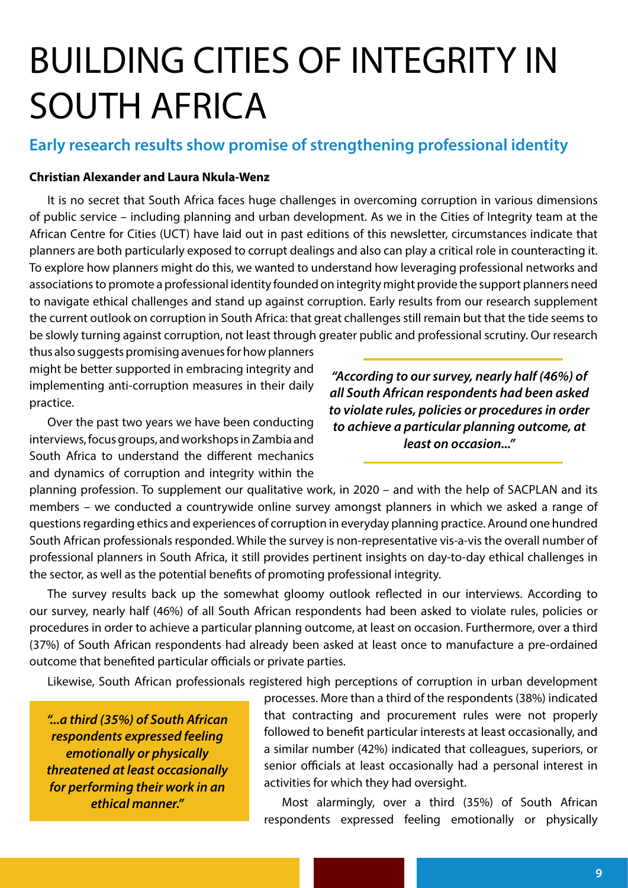## BUILDING CITIES OF INTEGRITY IN SOUTH AFRICA

## **Early research results show promise of strengthening professional identity**

## **Christian Alexander and Laura Nkula-Wenz**

It is no secret that South Africa faces huge challenges in overcoming corruption in various dimensions of public service – including planning and urban development. As we in the Cities of Integrity team at the African Centre for Cities (UCT) have laid out in past editions of this newsletter, circumstances indicate that planners are both particularly exposed to corrupt dealings and also can play a critical role in counteracting it. To explore how planners might do this, we wanted to understand how leveraging professional networks and associations to promote a professional identity founded on integrity might provide the support planners need to navigate ethical challenges and stand up against corruption. Early results from our research supplement the current outlook on corruption in South Africa: that great challenges still remain but that the tide seems to be slowly turning against corruption, not least through greater public and professional scrutiny. Our research

thus also suggests promising avenues for how planners might be better supported in embracing integrity and implementing anti-corruption measures in their daily practice.

Over the past two years we have been conducting interviews, focus groups, and workshops in Zambia and South Africa to understand the different mechanics and dynamics of corruption and integrity within the

*"According to our survey, nearly half (46%) of all South African respondents had been asked to violate rules, policies or procedures in order to achieve a particular planning outcome, at least on occasion..."*

planning profession. To supplement our qualitative work, in 2020 – and with the help of SACPLAN and its members – we conducted a countrywide online survey amongst planners in which we asked a range of questions regarding ethics and experiences of corruption in everyday planning practice. Around one hundred South African professionals responded. While the survey is non-representative vis-a-vis the overall number of professional planners in South Africa, it still provides pertinent insights on day-to-day ethical challenges in the sector, as well as the potential benefits of promoting professional integrity.

The survey results back up the somewhat gloomy outlook reflected in our interviews. According to our survey, nearly half (46%) of all South African respondents had been asked to violate rules, policies or procedures in order to achieve a particular planning outcome, at least on occasion. Furthermore, over a third (37%) of South African respondents had already been asked at least once to manufacture a pre-ordained outcome that benefited particular officials or private parties.

Likewise, South African professionals registered high perceptions of corruption in urban development

*"...a third (35%) of South African respondents expressed feeling emotionally or physically threatened at least occasionally for performing their work in an ethical manner."* 

processes. More than a third of the respondents (38%) indicated that contracting and procurement rules were not properly followed to benefit particular interests at least occasionally, and a similar number (42%) indicated that colleagues, superiors, or senior officials at least occasionally had a personal interest in activities for which they had oversight.

Most alarmingly, over a third (35%) of South African respondents expressed feeling emotionally or physically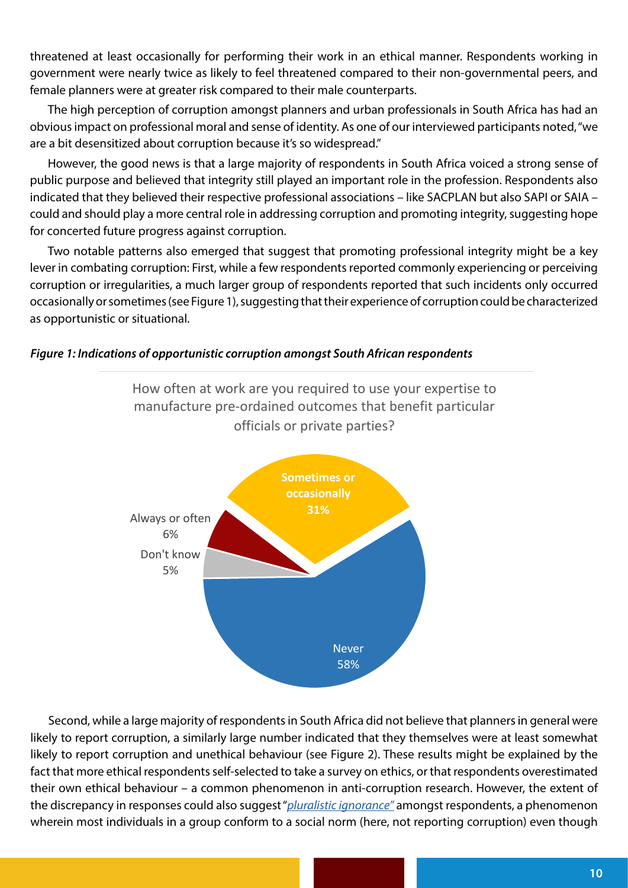threatened at least occasionally for performing their work in an ethical manner. Respondents working in government were nearly twice as likely to feel threatened compared to their non-governmental peers, and female planners were at greater risk compared to their male counterparts.

The high perception of corruption amongst planners and urban professionals in South Africa has had an obvious impact on professional moral and sense of identity. As one of our interviewed participants noted, "we are a bit desensitized about corruption because it's so widespread."

However, the good news is that a large majority of respondents in South Africa voiced a strong sense of public purpose and believed that integrity still played an important role in the profession. Respondents also indicated that they believed their respective professional associations – like SACPLAN but also SAPI or SAIA – could and should play a more central role in addressing corruption and promoting integrity, suggesting hope for concerted future progress against corruption.

Two notable patterns also emerged that suggest that promoting professional integrity might be a key lever in combating corruption: First, while a few respondents reported commonly experiencing or perceiving corruption or irregularities, a much larger group of respondents reported that such incidents only occurred occasionally or sometimes (see Figure 1), suggesting that their experience of corruption could be characterized as opportunistic or situational.

## *Figure 1: Indications of opportunistic corruption amongst South African respondents*



How often at work are you required to use your expertise to manufacture pre-ordained outcomes that benefit particular officials or private parties?

Second, while a large majority of respondents in South Africa did not believe that planners in general were likely to report corruption, a similarly large number indicated that they themselves were at least somewhat likely to report corruption and unethical behaviour (see Figure 2). These results might be explained by the fact that more ethical respondents self-selected to take a survey on ethics, or that respondents overestimated their own ethical behaviour – a common phenomenon in anti-corruption research. However, the extent of the discrepancy in responses could also suggest "*[pluralistic ignorance"](https://www.sciencedirect.com/science/article/pii/S0065260108602385)* amongst respondents, a phenomenon wherein most individuals in a group conform to a social norm (here, not reporting corruption) even though